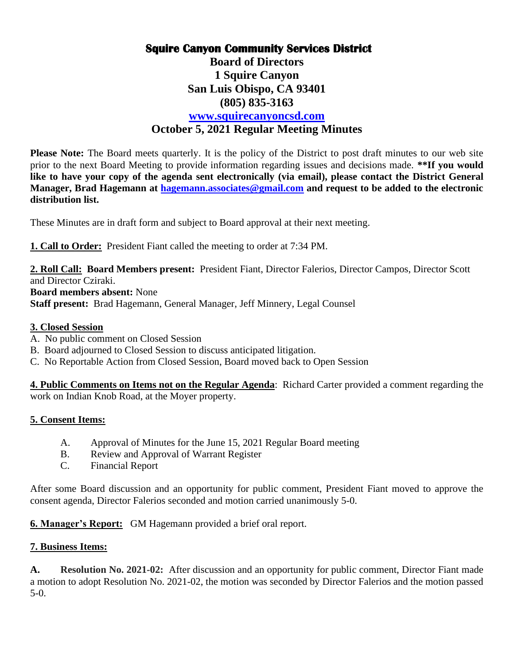# **Squire Canyon Community Services District**

**Board of Directors 1 Squire Canyon San Luis Obispo, CA 93401 (805) 835-3163**

## **[www.squirecanyoncsd.com](http://www.squirecanyoncsd.com/) October 5, 2021 Regular Meeting Minutes**

**Please Note:** The Board meets quarterly. It is the policy of the District to post draft minutes to our web site prior to the next Board Meeting to provide information regarding issues and decisions made. **\*\*If you would like to have your copy of the agenda sent electronically (via email), please contact the District General Manager, Brad Hagemann at [hagemann.associates@gmail.com](mailto:hagemann.associates@gmail.com) and request to be added to the electronic distribution list.** 

These Minutes are in draft form and subject to Board approval at their next meeting.

**1. Call to Order:** President Fiant called the meeting to order at 7:34 PM.

**2. Roll Call: Board Members present:** President Fiant, Director Falerios, Director Campos, Director Scott and Director Cziraki. **Board members absent:** None **Staff present:** Brad Hagemann, General Manager, Jeff Minnery, Legal Counsel

### **3. Closed Session**

- A. No public comment on Closed Session
- B. Board adjourned to Closed Session to discuss anticipated litigation.
- C. No Reportable Action from Closed Session, Board moved back to Open Session

**4. Public Comments on Items not on the Regular Agenda**: Richard Carter provided a comment regarding the work on Indian Knob Road, at the Moyer property.

## **5. Consent Items:**

- A. Approval of Minutes for the June 15, 2021 Regular Board meeting
- B. Review and Approval of Warrant Register
- C. Financial Report

After some Board discussion and an opportunity for public comment, President Fiant moved to approve the consent agenda, Director Falerios seconded and motion carried unanimously 5-0.

**6. Manager's Report:** GM Hagemann provided a brief oral report.

#### **7. Business Items:**

**A. Resolution No. 2021-02:** After discussion and an opportunity for public comment, Director Fiant made a motion to adopt Resolution No. 2021-02, the motion was seconded by Director Falerios and the motion passed 5-0.